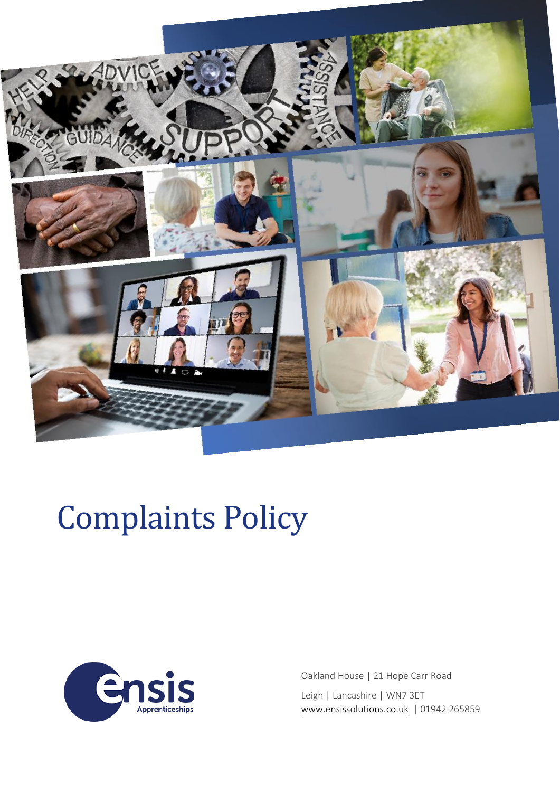

# Complaints Policy



Oakland House | 21 Hope Carr Road Leigh | Lancashire | WN7 3ET [www.ensissolutions.co.uk](http://www.ensissolutions.co.uk/) | 01942 265859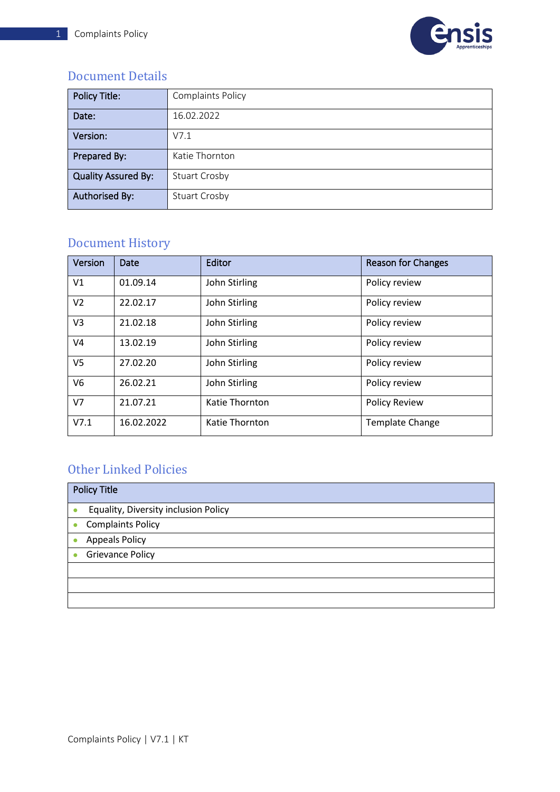

### <span id="page-1-0"></span>Document Details

| <b>Policy Title:</b>       | <b>Complaints Policy</b> |
|----------------------------|--------------------------|
| Date:                      | 16.02.2022               |
| Version:                   | V7.1                     |
| Prepared By:               | Katie Thornton           |
| <b>Quality Assured By:</b> | <b>Stuart Crosby</b>     |
| <b>Authorised By:</b>      | <b>Stuart Crosby</b>     |

## <span id="page-1-1"></span>Document History

| Version        | Date       | Editor         | <b>Reason for Changes</b> |
|----------------|------------|----------------|---------------------------|
| V1             | 01.09.14   | John Stirling  | Policy review             |
| V <sub>2</sub> | 22.02.17   | John Stirling  | Policy review             |
| V <sub>3</sub> | 21.02.18   | John Stirling  | Policy review             |
| V <sub>4</sub> | 13.02.19   | John Stirling  | Policy review             |
| V <sub>5</sub> | 27.02.20   | John Stirling  | Policy review             |
| V <sub>6</sub> | 26.02.21   | John Stirling  | Policy review             |
| V <sub>7</sub> | 21.07.21   | Katie Thornton | <b>Policy Review</b>      |
| V7.1           | 16.02.2022 | Katie Thornton | <b>Template Change</b>    |

### <span id="page-1-2"></span>Other Linked Policies

|           | <b>Policy Title</b>                  |
|-----------|--------------------------------------|
| $\bullet$ | Equality, Diversity inclusion Policy |
| $\bullet$ | <b>Complaints Policy</b>             |
| $\bullet$ | <b>Appeals Policy</b>                |
| $\bullet$ | <b>Grievance Policy</b>              |
|           |                                      |
|           |                                      |
|           |                                      |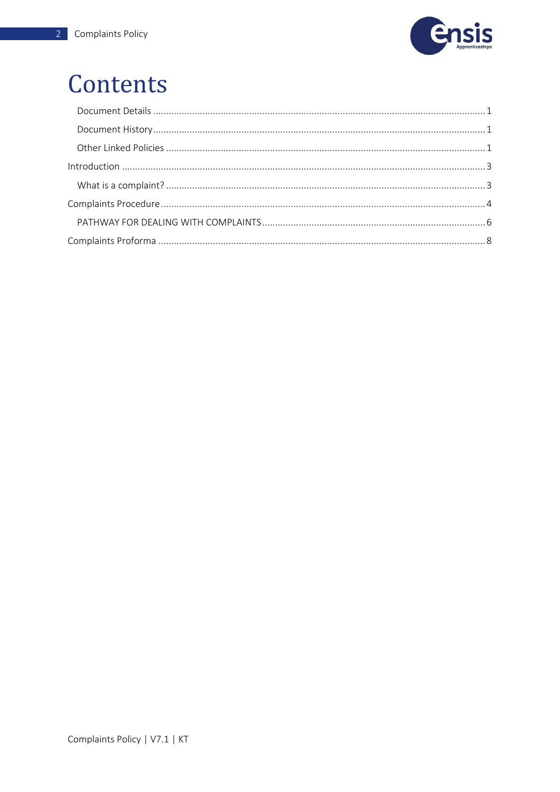

## Contents

| $\label{eq:interadd} \mbox{Introduction} \,\, \ldots \,\, \ldots \,\, \ldots \,\, \ldots \,\, \ldots \,\, \ldots \,\, \ldots \,\, \ldots \,\, \ldots \,\, \ldots \,\, \ldots \,\, \ldots \,\, \ldots \,\, \ldots \,\, \ldots \,\, \ldots \,\, \ldots \,\, \ldots \,\, \ldots \,\, \ldots \,\, \ldots \,\, \ldots \,\, \ldots \,\, \ldots \,\, \ldots \,\, \ldots \,\, \ldots \,\, \ldots \,\, \ldots \,\, \ldots \,\, \ldots \,\, \ldots \,\, \ldots \,\, \ldots \,\$ |  |
|-----------------------------------------------------------------------------------------------------------------------------------------------------------------------------------------------------------------------------------------------------------------------------------------------------------------------------------------------------------------------------------------------------------------------------------------------------------------------|--|
|                                                                                                                                                                                                                                                                                                                                                                                                                                                                       |  |
|                                                                                                                                                                                                                                                                                                                                                                                                                                                                       |  |
|                                                                                                                                                                                                                                                                                                                                                                                                                                                                       |  |
|                                                                                                                                                                                                                                                                                                                                                                                                                                                                       |  |
|                                                                                                                                                                                                                                                                                                                                                                                                                                                                       |  |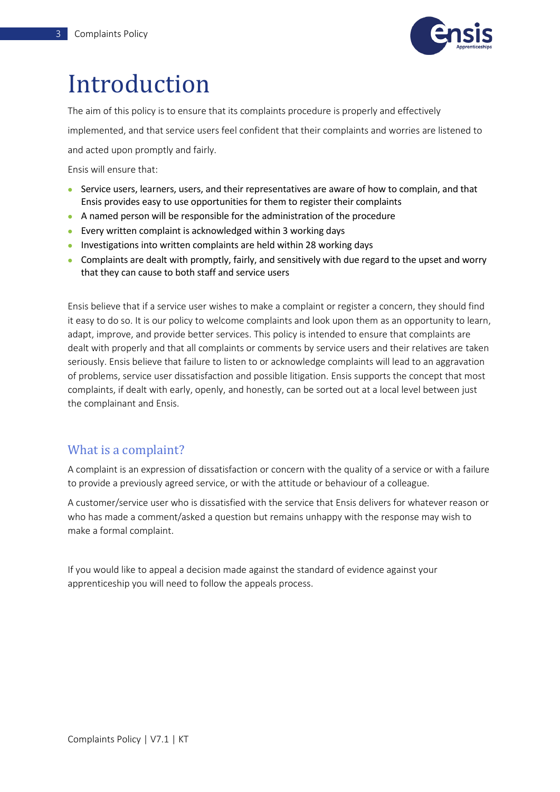

## <span id="page-3-0"></span>Introduction

The aim of this policy is to ensure that its complaints procedure is properly and effectively implemented, and that service users feel confident that their complaints and worries are listened to

and acted upon promptly and fairly.

Ensis will ensure that:

- Service users, learners, users, and their representatives are aware of how to complain, and that Ensis provides easy to use opportunities for them to register their complaints
- A named person will be responsible for the administration of the procedure
- Every written complaint is acknowledged within 3 working days
- Investigations into written complaints are held within 28 working days
- Complaints are dealt with promptly, fairly, and sensitively with due regard to the upset and worry that they can cause to both staff and service users

Ensis believe that if a service user wishes to make a complaint or register a concern, they should find it easy to do so. It is our policy to welcome complaints and look upon them as an opportunity to learn, adapt, improve, and provide better services. This policy is intended to ensure that complaints are dealt with properly and that all complaints or comments by service users and their relatives are taken seriously. Ensis believe that failure to listen to or acknowledge complaints will lead to an aggravation of problems, service user dissatisfaction and possible litigation. Ensis supports the concept that most complaints, if dealt with early, openly, and honestly, can be sorted out at a local level between just the complainant and Ensis.

### <span id="page-3-1"></span>What is a complaint?

A complaint is an expression of dissatisfaction or concern with the quality of a service or with a failure to provide a previously agreed service, or with the attitude or behaviour of a colleague.

A customer/service user who is dissatisfied with the service that Ensis delivers for whatever reason or who has made a comment/asked a question but remains unhappy with the response may wish to make a formal complaint.

If you would like to appeal a decision made against the standard of evidence against your apprenticeship you will need to follow the appeals process.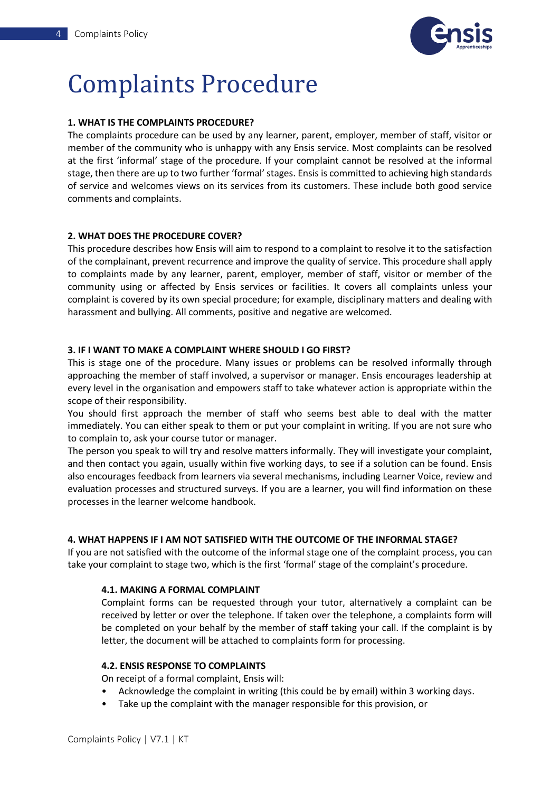

## <span id="page-4-0"></span>Complaints Procedure

#### **1. WHAT IS THE COMPLAINTS PROCEDURE?**

The complaints procedure can be used by any learner, parent, employer, member of staff, visitor or member of the community who is unhappy with any Ensis service. Most complaints can be resolved at the first 'informal' stage of the procedure. If your complaint cannot be resolved at the informal stage, then there are up to two further 'formal' stages. Ensis is committed to achieving high standards of service and welcomes views on its services from its customers. These include both good service comments and complaints.

#### **2. WHAT DOES THE PROCEDURE COVER?**

This procedure describes how Ensis will aim to respond to a complaint to resolve it to the satisfaction of the complainant, prevent recurrence and improve the quality of service. This procedure shall apply to complaints made by any learner, parent, employer, member of staff, visitor or member of the community using or affected by Ensis services or facilities. It covers all complaints unless your complaint is covered by its own special procedure; for example, disciplinary matters and dealing with harassment and bullying. All comments, positive and negative are welcomed.

#### **3. IF I WANT TO MAKE A COMPLAINT WHERE SHOULD I GO FIRST?**

This is stage one of the procedure. Many issues or problems can be resolved informally through approaching the member of staff involved, a supervisor or manager. Ensis encourages leadership at every level in the organisation and empowers staff to take whatever action is appropriate within the scope of their responsibility.

You should first approach the member of staff who seems best able to deal with the matter immediately. You can either speak to them or put your complaint in writing. If you are not sure who to complain to, ask your course tutor or manager.

The person you speak to will try and resolve matters informally. They will investigate your complaint, and then contact you again, usually within five working days, to see if a solution can be found. Ensis also encourages feedback from learners via several mechanisms, including Learner Voice, review and evaluation processes and structured surveys. If you are a learner, you will find information on these processes in the learner welcome handbook.

#### **4. WHAT HAPPENS IF I AM NOT SATISFIED WITH THE OUTCOME OF THE INFORMAL STAGE?**

If you are not satisfied with the outcome of the informal stage one of the complaint process, you can take your complaint to stage two, which is the first 'formal' stage of the complaint's procedure.

#### **4.1. MAKING A FORMAL COMPLAINT**

Complaint forms can be requested through your tutor, alternatively a complaint can be received by letter or over the telephone. If taken over the telephone, a complaints form will be completed on your behalf by the member of staff taking your call. If the complaint is by letter, the document will be attached to complaints form for processing.

#### **4.2. ENSIS RESPONSE TO COMPLAINTS**

On receipt of a formal complaint, Ensis will:

- Acknowledge the complaint in writing (this could be by email) within 3 working days.
- Take up the complaint with the manager responsible for this provision, or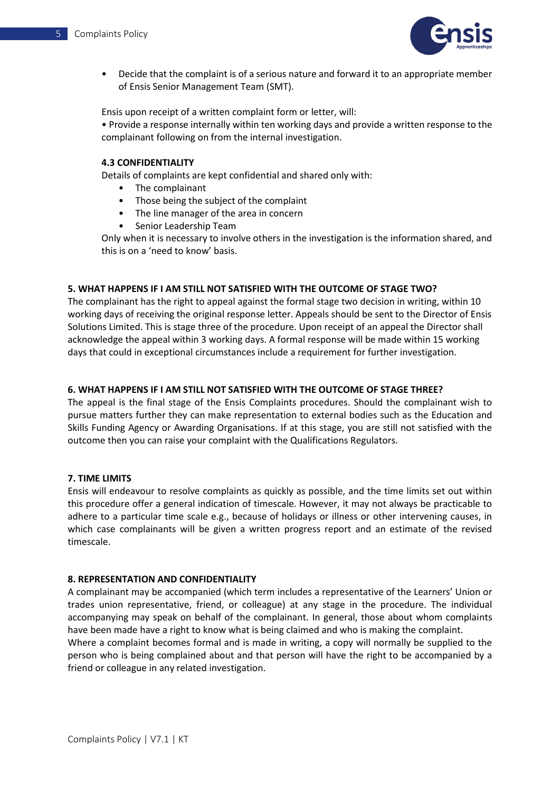

• Decide that the complaint is of a serious nature and forward it to an appropriate member of Ensis Senior Management Team (SMT).

Ensis upon receipt of a written complaint form or letter, will:

• Provide a response internally within ten working days and provide a written response to the complainant following on from the internal investigation.

#### **4.3 CONFIDENTIALITY**

Details of complaints are kept confidential and shared only with:

- The complainant
- Those being the subject of the complaint
- The line manager of the area in concern
- Senior Leadership Team

Only when it is necessary to involve others in the investigation is the information shared, and this is on a 'need to know' basis.

#### **5. WHAT HAPPENS IF I AM STILL NOT SATISFIED WITH THE OUTCOME OF STAGE TWO?**

The complainant has the right to appeal against the formal stage two decision in writing, within 10 working days of receiving the original response letter. Appeals should be sent to the Director of Ensis Solutions Limited. This is stage three of the procedure. Upon receipt of an appeal the Director shall acknowledge the appeal within 3 working days. A formal response will be made within 15 working days that could in exceptional circumstances include a requirement for further investigation.

#### **6. WHAT HAPPENS IF I AM STILL NOT SATISFIED WITH THE OUTCOME OF STAGE THREE?**

The appeal is the final stage of the Ensis Complaints procedures. Should the complainant wish to pursue matters further they can make representation to external bodies such as the Education and Skills Funding Agency or Awarding Organisations. If at this stage, you are still not satisfied with the outcome then you can raise your complaint with the Qualifications Regulators.

#### **7. TIME LIMITS**

Ensis will endeavour to resolve complaints as quickly as possible, and the time limits set out within this procedure offer a general indication of timescale. However, it may not always be practicable to adhere to a particular time scale e.g., because of holidays or illness or other intervening causes, in which case complainants will be given a written progress report and an estimate of the revised timescale.

#### **8. REPRESENTATION AND CONFIDENTIALITY**

A complainant may be accompanied (which term includes a representative of the Learners' Union or trades union representative, friend, or colleague) at any stage in the procedure. The individual accompanying may speak on behalf of the complainant. In general, those about whom complaints have been made have a right to know what is being claimed and who is making the complaint.

Where a complaint becomes formal and is made in writing, a copy will normally be supplied to the person who is being complained about and that person will have the right to be accompanied by a friend or colleague in any related investigation.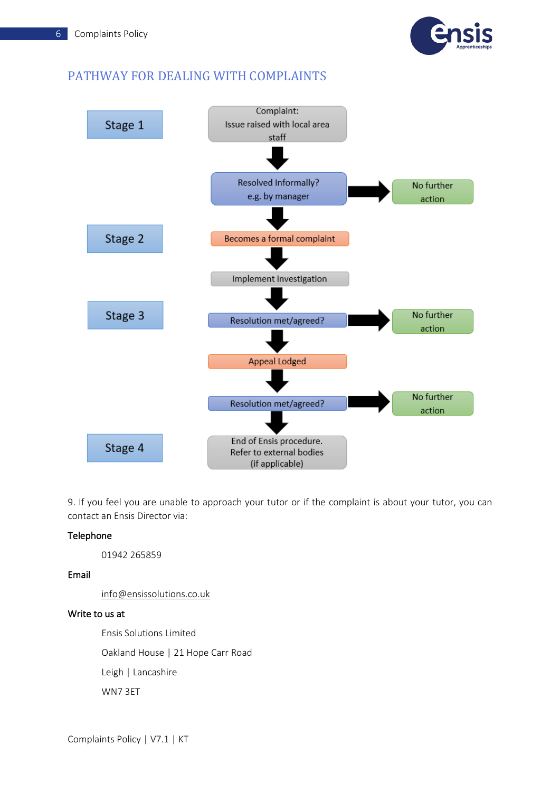

### <span id="page-6-0"></span>PATHWAY FOR DEALING WITH COMPLAINTS



9. If you feel you are unable to approach your tutor or if the complaint is about your tutor, you can contact an Ensis Director via:

#### Telephone

01942 265859

#### Email

[info@ensissolutions.co.uk](mailto:info@ensissolutions.co.uk)

#### Write to us at

Ensis Solutions Limited Oakland House | 21 Hope Carr Road Leigh | Lancashire WN7 3ET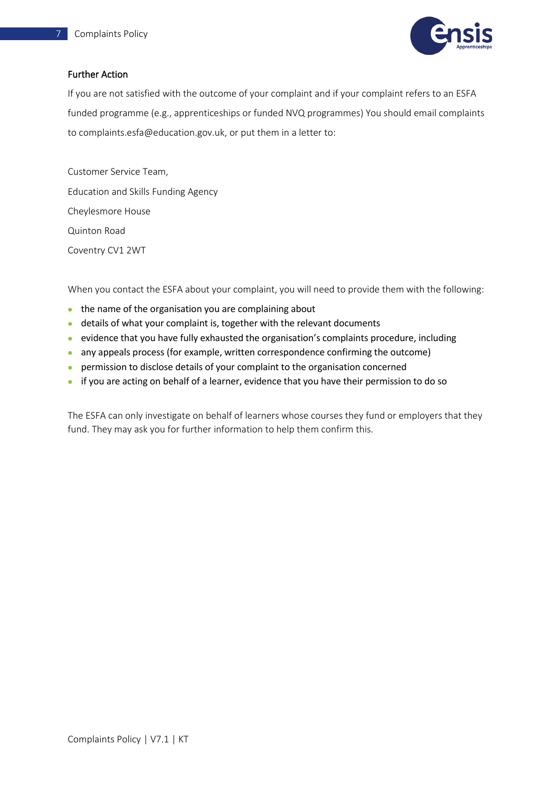

#### Further Action

If you are not satisfied with the outcome of your complaint and if your complaint refers to an ESFA funded programme (e.g., apprenticeships or funded NVQ programmes) You should email complaints to complaints.esfa@education.gov.uk, or put them in a letter to:

Customer Service Team, Education and Skills Funding Agency Cheylesmore House Quinton Road Coventry CV1 2WT

When you contact the ESFA about your complaint, you will need to provide them with the following:

- the name of the organisation you are complaining about
- details of what your complaint is, together with the relevant documents
- evidence that you have fully exhausted the organisation's complaints procedure, including
- any appeals process (for example, written correspondence confirming the outcome)
- permission to disclose details of your complaint to the organisation concerned
- if you are acting on behalf of a learner, evidence that you have their permission to do so

The ESFA can only investigate on behalf of learners whose courses they fund or employers that they fund. They may ask you for further information to help them confirm this.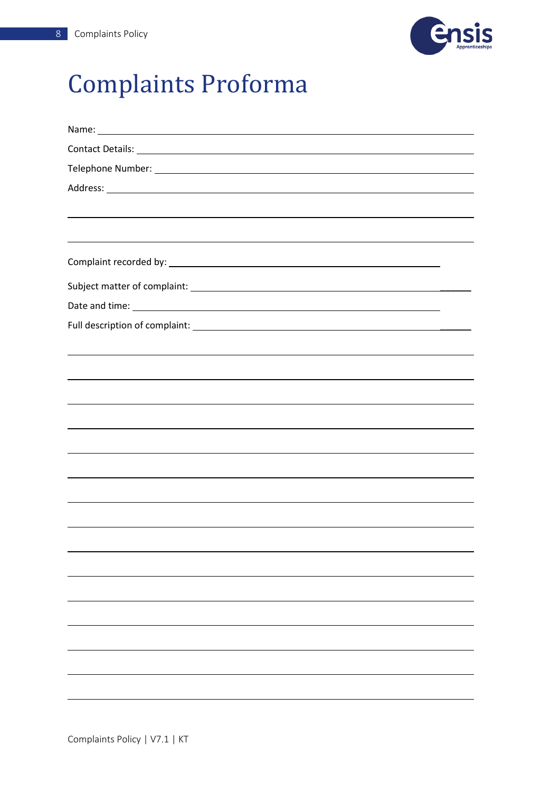

## <span id="page-8-0"></span>Complaints Proforma

| Contact Details: Law and Contact Details: Law and Contact Details: Law and Contact Details: |
|---------------------------------------------------------------------------------------------|
|                                                                                             |
|                                                                                             |
|                                                                                             |
| ,我们也不会有什么。""我们的人,我们也不会有什么?""我们的人,我们也不会有什么?""我们的人,我们也不会有什么?""我们的人,我们也不会有什么?""我们的人            |
|                                                                                             |
|                                                                                             |
|                                                                                             |
|                                                                                             |
|                                                                                             |
|                                                                                             |
|                                                                                             |
|                                                                                             |
|                                                                                             |
|                                                                                             |
|                                                                                             |
|                                                                                             |
|                                                                                             |
|                                                                                             |
|                                                                                             |
|                                                                                             |
|                                                                                             |
|                                                                                             |
|                                                                                             |
|                                                                                             |
|                                                                                             |
|                                                                                             |
|                                                                                             |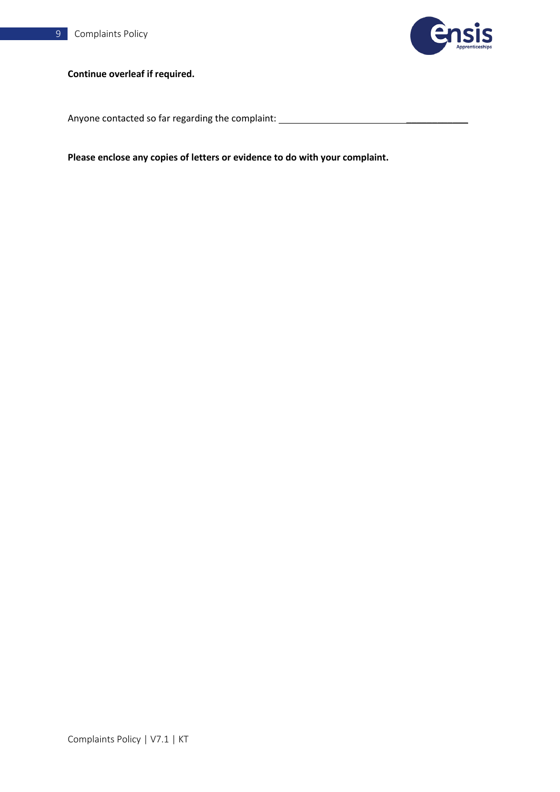



#### **Continue overleaf if required.**

Anyone contacted so far regarding the complaint: \_\_\_\_\_\_\_\_\_\_\_\_\_\_\_\_\_\_\_\_\_\_\_\_\_\_\_\_\_\_\_

**Please enclose any copies of letters or evidence to do with your complaint.**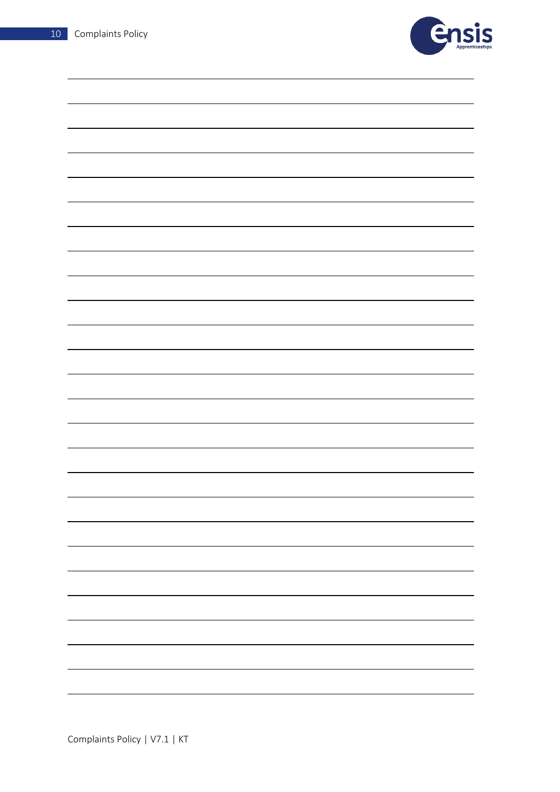| 10 | <b>Complaints Policy</b> |
|----|--------------------------|
|----|--------------------------|